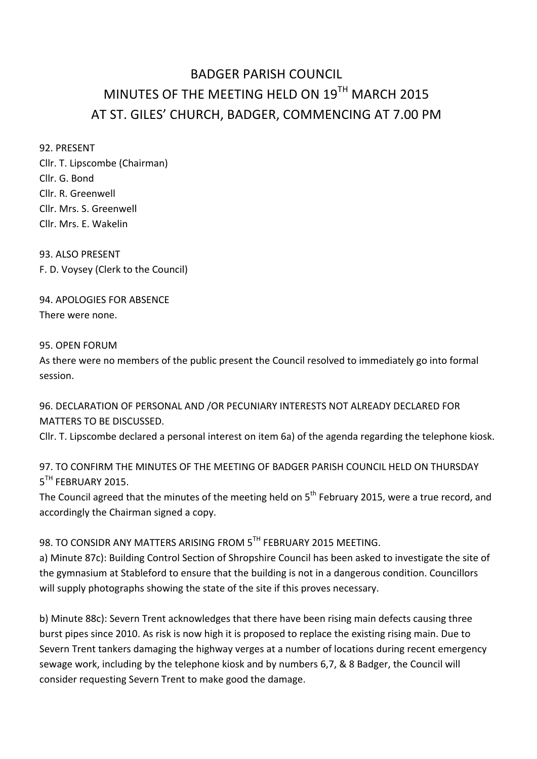# BADGER PARISH COUNCIL MINUTES OF THE MEETING HELD ON  $19^{TH}$  MARCH 2015 AT ST. GILES' CHURCH, BADGER, COMMENCING AT 7.00 PM

92. PRESENT

Cllr. T. Lipscombe (Chairman) Cllr. G. Bond Cllr. R. Greenwell Cllr. Mrs. S. Greenwell Cllr. Mrs. E. Wakelin

93. ALSO PRESENT F. D. Voysey (Clerk to the Council)

94. APOLOGIES FOR ABSENCE There were none.

### 95. OPEN FORUM

As there were no members of the public present the Council resolved to immediately go into formal session.

96. DECLARATION OF PERSONAL AND /OR PECUNIARY INTERESTS NOT ALREADY DECLARED FOR MATTERS TO BE DISCUSSED.

Cllr. T. Lipscombe declared a personal interest on item 6a) of the agenda regarding the telephone kiosk.

97. TO CONFIRM THE MINUTES OF THE MEETING OF BADGER PARISH COUNCIL HELD ON THURSDAY  $5<sup>TH</sup>$  FFBRUARY 2015.

The Council agreed that the minutes of the meeting held on  $5<sup>th</sup>$  February 2015, were a true record, and accordingly the Chairman signed a copy.

# 98. TO CONSIDR ANY MATTERS ARISING FROM 5TH FEBRUARY 2015 MEETING.

a) Minute 87c): Building Control Section of Shropshire Council has been asked to investigate the site of the gymnasium at Stableford to ensure that the building is not in a dangerous condition. Councillors will supply photographs showing the state of the site if this proves necessary.

b) Minute 88c): Severn Trent acknowledges that there have been rising main defects causing three burst pipes since 2010. As risk is now high it is proposed to replace the existing rising main. Due to Severn Trent tankers damaging the highway verges at a number of locations during recent emergency sewage work, including by the telephone kiosk and by numbers 6,7, & 8 Badger, the Council will consider requesting Severn Trent to make good the damage.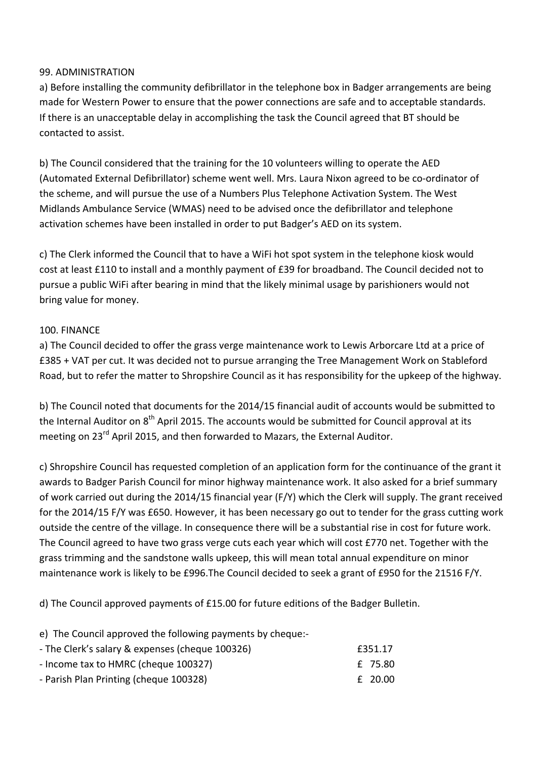### 99. ADMINISTRATION

a) Before installing the community defibrillator in the telephone box in Badger arrangements are being made for Western Power to ensure that the power connections are safe and to acceptable standards. If there is an unacceptable delay in accomplishing the task the Council agreed that BT should be contacted to assist.

b) The Council considered that the training for the 10 volunteers willing to operate the AED (Automated External Defibrillator) scheme went well. Mrs. Laura Nixon agreed to be co-ordinator of the scheme, and will pursue the use of a Numbers Plus Telephone Activation System. The West Midlands Ambulance Service (WMAS) need to be advised once the defibrillator and telephone activation schemes have been installed in order to put Badger's AED on its system.

c) The Clerk informed the Council that to have a WiFi hot spot system in the telephone kiosk would cost at least £110 to install and a monthly payment of £39 for broadband. The Council decided not to pursue a public WiFi after bearing in mind that the likely minimal usage by parishioners would not bring value for money.

#### 100. FINANCE

a) The Council decided to offer the grass verge maintenance work to Lewis Arborcare Ltd at a price of £385 + VAT per cut. It was decided not to pursue arranging the Tree Management Work on Stableford Road, but to refer the matter to Shropshire Council as it has responsibility for the upkeep of the highway.

b) The Council noted that documents for the 2014/15 financial audit of accounts would be submitted to the Internal Auditor on  $8<sup>th</sup>$  April 2015. The accounts would be submitted for Council approval at its meeting on  $23^{\text{rd}}$  April 2015, and then forwarded to Mazars, the External Auditor.

c) Shropshire Council has requested completion of an application form for the continuance of the grant it awards to Badger Parish Council for minor highway maintenance work. It also asked for a brief summary of work carried out during the 2014/15 financial year (F/Y) which the Clerk will supply. The grant received for the 2014/15  $F/Y$  was £650. However, it has been necessary go out to tender for the grass cutting work outside the centre of the village. In consequence there will be a substantial rise in cost for future work. The Council agreed to have two grass verge cuts each year which will cost £770 net. Together with the grass trimming and the sandstone walls upkeep, this will mean total annual expenditure on minor maintenance work is likely to be £996. The Council decided to seek a grant of £950 for the 21516 F/Y.

d) The Council approved payments of  $£15.00$  for future editions of the Badger Bulletin.

e) The Council approved the following payments by cheque:-

| - The Clerk's salary & expenses (cheque 100326) | f351.17 |
|-------------------------------------------------|---------|
| - Income tax to HMRC (cheque 100327)            | £ 75.80 |
| - Parish Plan Printing (cheque 100328)          | f 20.00 |